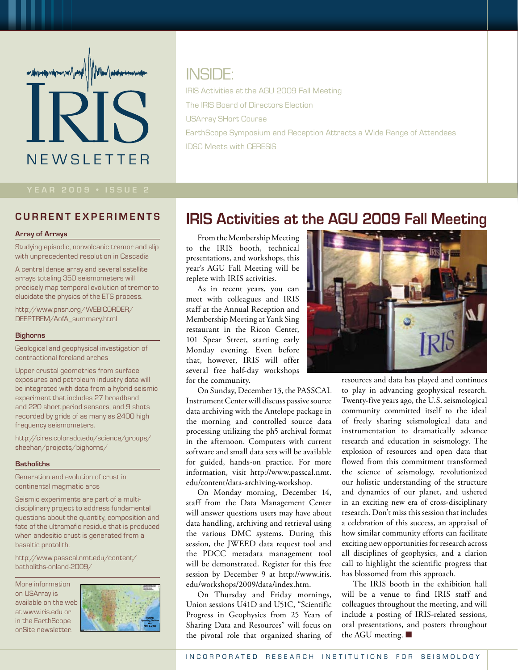# **NEWSLETTER**

## INSIDE:

IRIS Activities at the AGU 2009 Fall Meeting The IRIS Board of Directors Election USArray SHort Course EarthScope Symposium and Reception Attracts a Wide Range of Attendees IDSC Meets with CERESIS

#### **c urre nt e x p eri m e n t s**

#### **Array of Arrays**

Studying episodic, nonvolcanic tremor and slip with unprecedented resolution in Cascadia

A central dense array and several satellite arrays totaling 350 seismometers will precisely map temporal evolution of tremor to elucidate the physics of the ETS process.

http://www.pnsn.org/WEBICORDER/ DEEPTREM/AofA\_summary.html

#### **Bighorns**

Geological and geophysical investigation of contractional foreland arches

Upper crustal geometries from surface exposures and petroleum industry data will be integrated with data from a hybrid seismic experiment that includes 27 broadband and 220 short period sensors, and 9 shots recorded by grids of as many as 2400 high frequency seismometers.

http://cires.colorado.edu/science/groups/ sheehan/projects/bighorns/

#### **Batholiths**

Generation and evolution of crust in continental magmatic arcs

Seismic experiments are part of a multidisciplinary project to address fundamental questions about the quantity, composition and fate of the ultramafic residue that is produced when andesitic crust is generated from a basaltic protolith.

http://www.passcal.nmt.edu/content/ batholiths-onland-2009/

More information on USArray is available on the web at www.iris.edu or in the EarthScope onSite newsletter.



## **IRIS Activities at the AGU 2009 Fall Meeting**

From the Membership Meeting to the IRIS booth, technical presentations, and workshops, this year's AGU Fall Meeting will be replete with IRIS activities.

As in recent years, you can meet with colleagues and IRIS staff at the Annual Reception and Membership Meeting at Yank Sing restaurant in the Ricon Center, 101 Spear Street, starting early Monday evening. Even before that, however, IRIS will offer several free half-day workshops for the community.

On Sunday, December 13, the PASSCAL Instrument Center will discuss passive source data archiving with the Antelope package in the morning and controlled source data processing utilizing the ph5 archival format in the afternoon. Computers with current software and small data sets will be available for guided, hands-on practice. For more information, visit http://www.passcal.nmt. edu/content/data-archiving-workshop.

On Monday morning, December 14, staff from the Data Management Center will answer questions users may have about data handling, archiving and retrieval using the various DMC systems. During this session, the JWEED data request tool and the PDCC metadata management tool will be demonstrated. Register for this free session by December 9 at http://www.iris. edu/workshops/2009/data/index.htm.

On Thursday and Friday mornings, Union sessions U41D and U51C, "Scientific Progress in Geophysics from 25 Years of Sharing Data and Resources" will focus on the pivotal role that organized sharing of



resources and data has played and continues to play in advancing geophysical research. Twenty-five years ago, the U.S. seismological community committed itself to the ideal of freely sharing seismological data and instrumentation to dramatically advance research and education in seismology. The explosion of resources and open data that flowed from this commitment transformed the science of seismology, revolutionized our holistic understanding of the structure and dynamics of our planet, and ushered in an exciting new era of cross-disciplinary research. Don't miss this session that includes a celebration of this success, an appraisal of how similar community efforts can facilitate exciting new opportunities for research across all disciplines of geophysics, and a clarion call to highlight the scientific progress that has blossomed from this approach.

The IRIS booth in the exhibition hall will be a venue to find IRIS staff and colleagues throughout the meeting, and will include a posting of IRIS-related sessions, oral presentations, and posters throughout the AGU meeting. ■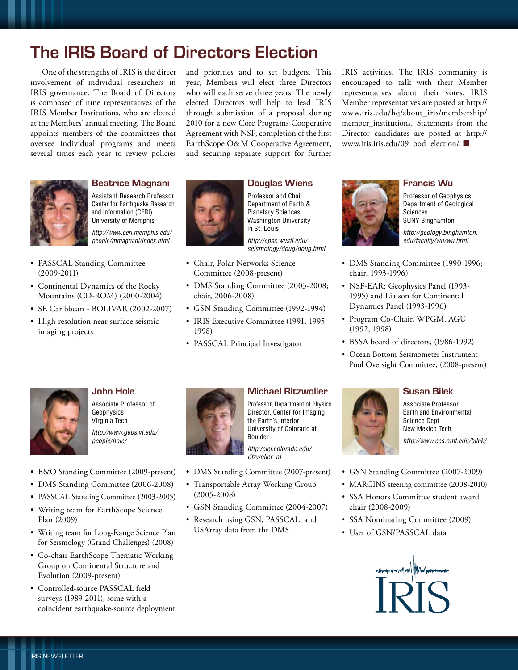## **The IRIS Board of Directors Election**

One of the strengths of IRIS is the direct involvement of individual researchers in IRIS governance. The Board of Directors is composed of nine representatives of the IRIS Member Institutions, who are elected at the Members' annual meeting. The Board appoints members of the committees that oversee individual programs and meets several times each year to review policies

and priorities and to set budgets. This year, Members will elect three Directors who will each serve three years. The newly elected Directors will help to lead IRIS through submission of a proposal during 2010 for a new Core Programs Cooperative Agreement with NSF, completion of the first EarthScope O&M Cooperative Agreement, and securing separate support for further IRIS activities. The IRIS community is encouraged to talk with their Member representatives about their votes. IRIS Member representatives are posted at http:// www.iris.edu/hq/about\_iris/membership/ member institutions. Statements from the Director candidates are posted at http:// www.iris.iris.edu/09\_bod\_election/. ■



#### **Beatrice Magnani**



- PASSCAL Standing Committee (2009-2011)
- Continental Dynamics of the Rocky Mountains (CD-ROM) (2000-2004)
- SE Caribbean BOLIVAR (2002-2007)
- • High-resolution near surface seismic imaging projects



### **Douglas Wiens**

Professor and Chair Department of Earth & Planetary Sciences Washington University in St. Louis

*http://epsc.wustl.edu/ seismology/doug/doug.html*

- • Chair, Polar Networks Science Committee (2008-present)
- DMS Standing Committee (2003-2008; chair, 2006-2008)
- GSN Standing Committee (1992-1994)
- IRIS Executive Committee (1991, 1995-1998)
- PASSCAL Principal Investigator



#### **Francis Wu**

Professor of Geophysics Department of Geological Sciences SUNY Binghamton *http://geology.binghamton. edu/faculty/wu/wu.html*

- DMS Standing Committee (1990-1996; chair, 1993-1996)
- NSF-EAR: Geophysics Panel (1993-1995) and Liaison for Continental Dynamics Panel (1993-1996)
- Program Co-Chair, WPGM, AGU (1992, 1998)
- BSSA board of directors, (1986-1992)
- • Ocean Bottom Seismometer Instrument Pool Oversight Committee, (2008-present)



#### **John Hole**

Associate Professor of Geophysics Virginia Tech *http://www.geos.vt.edu/ people/hole/*

- • E&O Standing Committee (2009-present)
- DMS Standing Committee (2006-2008)
- PASSCAL Standing Committee (2003-2005)
- • Writing team for EarthScope Science Plan (2009)
- • Writing team for Long-Range Science Plan for Seismology (Grand Challenges) (2008)
- • Co-chair EarthScope Thematic Working Group on Continental Structure and Evolution (2009-present)
- • Controlled-source PASSCAL field surveys (1989-2011), some with a coincident earthquake-source deployment



#### **Michael Ritzwoller**

Professor, Department of Physics Director, Center for Imaging the Earth's Interior University of Colorado at Boulder

*http:/ciei.colorado.edu/ ritzwoller\_m*

- DMS Standing Committee (2007-present)
- • Transportable Array Working Group (2005-2008)
- GSN Standing Committee (2004-2007)
- • Research using GSN, PASSCAL, and USArray data from the DMS



#### **Susan Bilek**

Associate Professor Earth and Environmental Science Dept New Mexico Tech *http://www.ees.nmt.edu/bilek/*

- GSN Standing Committee (2007-2009)
- MARGINS steering committee (2008-2010)
- • SSA Honors Committee student award chair (2008-2009)
- SSA Nominating Committee (2009)
- User of GSN/PASSCAL data

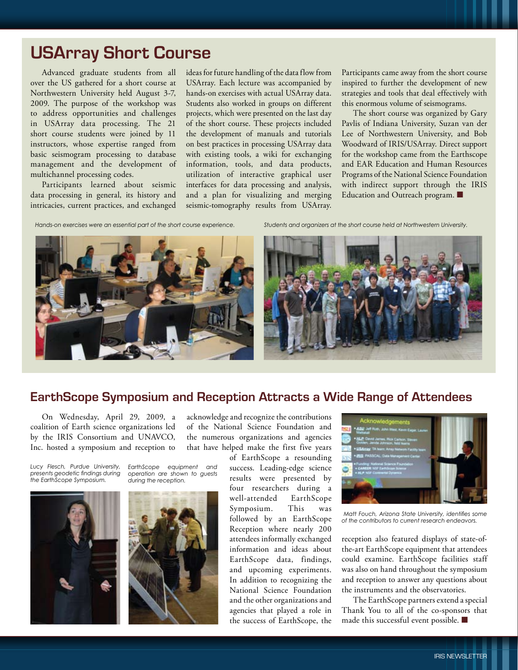## **USArray Short Course**

Advanced graduate students from all over the US gathered for a short course at Northwestern University held August 3-7, 2009. The purpose of the workshop was to address opportunities and challenges in USArray data processing. The 21 short course students were joined by 11 instructors, whose expertise ranged from basic seismogram processing to database management and the development of multichannel processing codes.

Participants learned about seismic data processing in general, its history and intricacies, current practices, and exchanged

ideas for future handling of the data flow from USArray. Each lecture was accompanied by hands-on exercises with actual USArray data. Students also worked in groups on different projects, which were presented on the last day of the short course. These projects included the development of manuals and tutorials on best practices in processing USArray data with existing tools, a wiki for exchanging information, tools, and data products, utilization of interactive graphical user interfaces for data processing and analysis, and a plan for visualizing and merging seismic-tomography results from USArray. Participants came away from the short course inspired to further the development of new strategies and tools that deal effectively with this enormous volume of seismograms.

The short course was organized by Gary Pavlis of Indiana University, Suzan van der Lee of Northwestern University, and Bob Woodward of IRIS/USArray. Direct support for the workshop came from the Earthscope and EAR Education and Human Resources Programs of the National Science Foundation with indirect support through the IRIS Education and Outreach program. ■

*Hands-on exercises were an essential part of the short course experience. Students and organizers at the short course held at Northwestern University.*





### **EarthScope Symposium and Reception Attracts a Wide Range of Attendees**

On Wednesday, April 29, 2009, a coalition of Earth science organizations led by the IRIS Consortium and UNAVCO, Inc. hosted a symposium and reception to

*Lucy Flesch, Purdue University, EarthScope equipment and presents geodetic findings during the EarthScope Symposium.*







acknowledge and recognize the contributions of the National Science Foundation and the numerous organizations and agencies that have helped make the first five years

> of EarthScope a resounding success. Leading-edge science results were presented by four researchers during a well-attended EarthScope Symposium. This was followed by an EarthScope Reception where nearly 200 attendees informally exchanged information and ideas about EarthScope data, findings, and upcoming experiments. In addition to recognizing the National Science Foundation and the other organizations and agencies that played a role in the success of EarthScope, the



 *Matt Fouch, Arizona State University, identifies some of the contributors to current research endeavors.*

reception also featured displays of state-ofthe-art EarthScope equipment that attendees could examine. EarthScope facilities staff was also on hand throughout the symposium and reception to answer any questions about the instruments and the observatories.

The EarthScope partners extend a special Thank You to all of the co-sponsors that made this successful event possible. ■